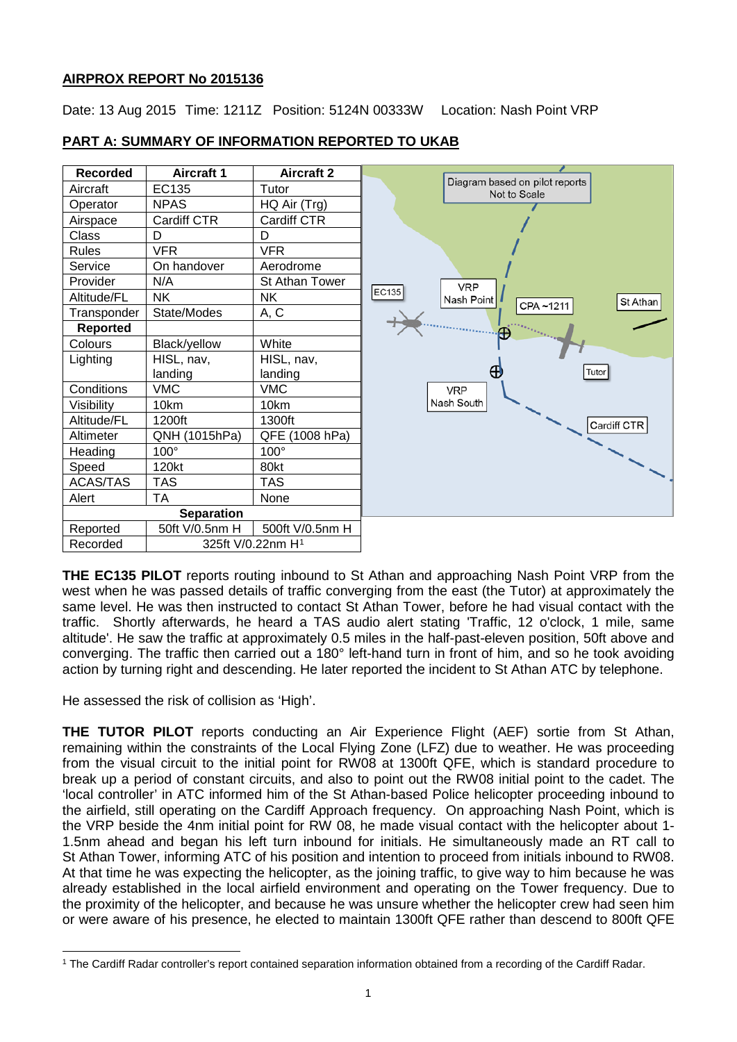# **AIRPROX REPORT No 2015136**

Date: 13 Aug 2015 Time: 1211Z Position: 5124N 00333W Location: Nash Point VRP



# **PART A: SUMMARY OF INFORMATION REPORTED TO UKAB**

**THE EC135 PILOT** reports routing inbound to St Athan and approaching Nash Point VRP from the west when he was passed details of traffic converging from the east (the Tutor) at approximately the same level. He was then instructed to contact St Athan Tower, before he had visual contact with the traffic. Shortly afterwards, he heard a TAS audio alert stating 'Traffic, 12 o'clock, 1 mile, same altitude'. He saw the traffic at approximately 0.5 miles in the half-past-eleven position, 50ft above and converging. The traffic then carried out a 180° left-hand turn in front of him, and so he took avoiding action by turning right and descending. He later reported the incident to St Athan ATC by telephone.

He assessed the risk of collision as 'High'.

 $\overline{\phantom{a}}$ 

**THE TUTOR PILOT** reports conducting an Air Experience Flight (AEF) sortie from St Athan, remaining within the constraints of the Local Flying Zone (LFZ) due to weather. He was proceeding from the visual circuit to the initial point for RW08 at 1300ft QFE, which is standard procedure to break up a period of constant circuits, and also to point out the RW08 initial point to the cadet. The 'local controller' in ATC informed him of the St Athan-based Police helicopter proceeding inbound to the airfield, still operating on the Cardiff Approach frequency. On approaching Nash Point, which is the VRP beside the 4nm initial point for RW 08, he made visual contact with the helicopter about 1- 1.5nm ahead and began his left turn inbound for initials. He simultaneously made an RT call to St Athan Tower, informing ATC of his position and intention to proceed from initials inbound to RW08. At that time he was expecting the helicopter, as the joining traffic, to give way to him because he was already established in the local airfield environment and operating on the Tower frequency. Due to the proximity of the helicopter, and because he was unsure whether the helicopter crew had seen him or were aware of his presence, he elected to maintain 1300ft QFE rather than descend to 800ft QFE

<span id="page-0-0"></span><sup>1</sup> The Cardiff Radar controller's report contained separation information obtained from a recording of the Cardiff Radar.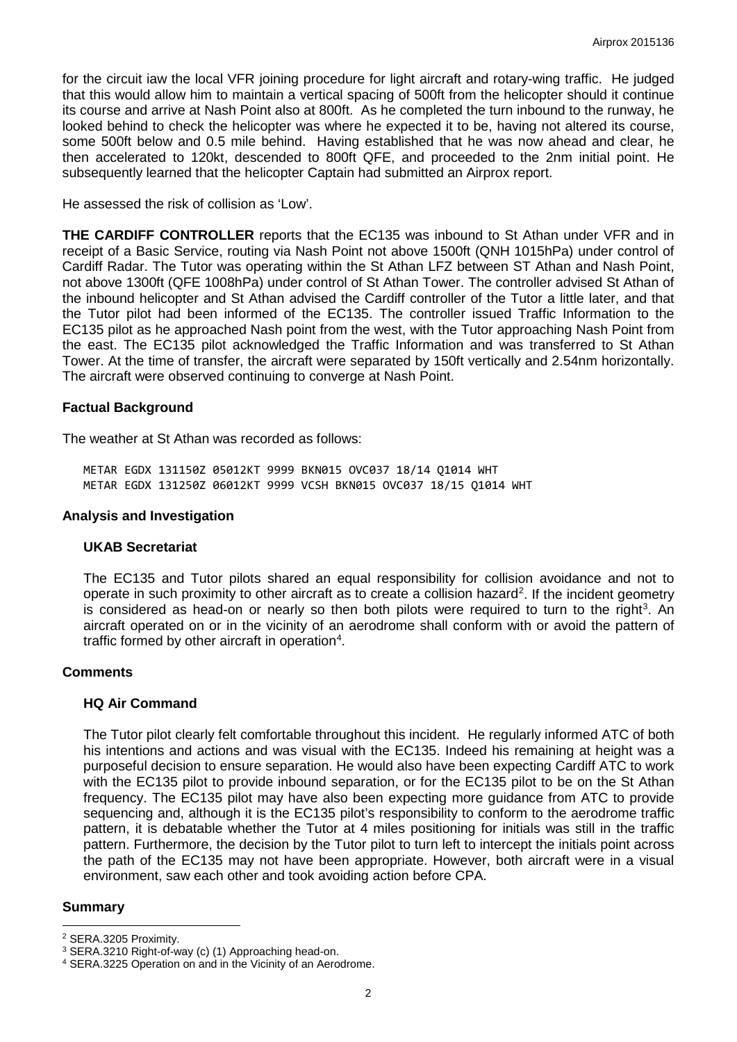for the circuit iaw the local VFR joining procedure for light aircraft and rotary-wing traffic. He judged that this would allow him to maintain a vertical spacing of 500ft from the helicopter should it continue its course and arrive at Nash Point also at 800ft. As he completed the turn inbound to the runway, he looked behind to check the helicopter was where he expected it to be, having not altered its course, some 500ft below and 0.5 mile behind. Having established that he was now ahead and clear, he then accelerated to 120kt, descended to 800ft QFE, and proceeded to the 2nm initial point. He subsequently learned that the helicopter Captain had submitted an Airprox report.

He assessed the risk of collision as 'Low'.

**THE CARDIFF CONTROLLER** reports that the EC135 was inbound to St Athan under VFR and in receipt of a Basic Service, routing via Nash Point not above 1500ft (QNH 1015hPa) under control of Cardiff Radar. The Tutor was operating within the St Athan LFZ between ST Athan and Nash Point, not above 1300ft (QFE 1008hPa) under control of St Athan Tower. The controller advised St Athan of the inbound helicopter and St Athan advised the Cardiff controller of the Tutor a little later, and that the Tutor pilot had been informed of the EC135. The controller issued Traffic Information to the EC135 pilot as he approached Nash point from the west, with the Tutor approaching Nash Point from the east. The EC135 pilot acknowledged the Traffic Information and was transferred to St Athan Tower. At the time of transfer, the aircraft were separated by 150ft vertically and 2.54nm horizontally. The aircraft were observed continuing to converge at Nash Point.

## **Factual Background**

The weather at St Athan was recorded as follows:

METAR EGDX 131150Z 05012KT 9999 BKN015 OVC037 18/14 Q1014 WHT METAR EGDX 131250Z 06012KT 9999 VCSH BKN015 OVC037 18/15 Q1014 WHT

### **Analysis and Investigation**

## **UKAB Secretariat**

The EC135 and Tutor pilots shared an equal responsibility for collision avoidance and not to operate in such proximity to other aircraft as to create a collision hazard<sup>[2](#page-1-0)</sup>. If the incident geometry is considered as head-on or nearly so then both pilots were required to turn to the right<sup>[3](#page-1-1)</sup>. An aircraft operated on or in the vicinity of an aerodrome shall conform with or avoid the pattern of traffic formed by other aircraft in operation<sup>[4](#page-1-2)</sup>.

#### **Comments**

## **HQ Air Command**

The Tutor pilot clearly felt comfortable throughout this incident. He regularly informed ATC of both his intentions and actions and was visual with the EC135. Indeed his remaining at height was a purposeful decision to ensure separation. He would also have been expecting Cardiff ATC to work with the EC135 pilot to provide inbound separation, or for the EC135 pilot to be on the St Athan frequency. The EC135 pilot may have also been expecting more guidance from ATC to provide sequencing and, although it is the EC135 pilot's responsibility to conform to the aerodrome traffic pattern, it is debatable whether the Tutor at 4 miles positioning for initials was still in the traffic pattern. Furthermore, the decision by the Tutor pilot to turn left to intercept the initials point across the path of the EC135 may not have been appropriate. However, both aircraft were in a visual environment, saw each other and took avoiding action before CPA.

#### **Summary**

 $\overline{\phantom{a}}$ 

<span id="page-1-0"></span><sup>2</sup> SERA.3205 Proximity.

<span id="page-1-1"></span><sup>3</sup> SERA.3210 Right-of-way (c) (1) Approaching head-on.

<span id="page-1-2"></span><sup>4</sup> SERA.3225 Operation on and in the Vicinity of an Aerodrome.